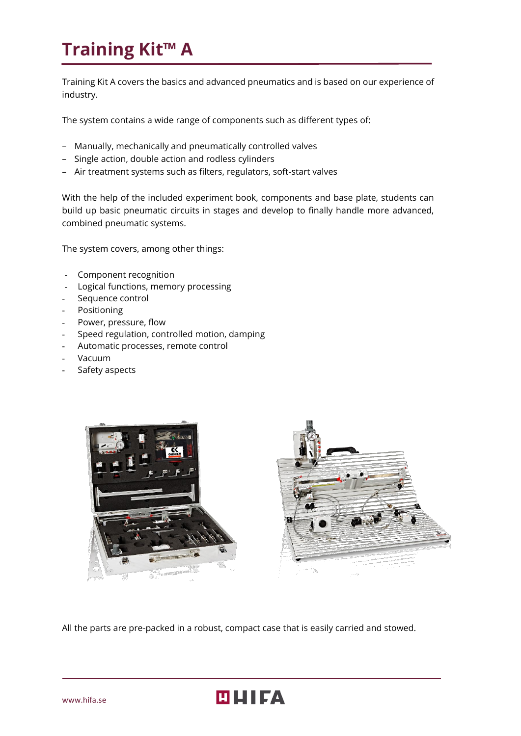# **Training Kit™ A**

Training Kit A covers the basics and advanced pneumatics and is based on our experience of industry.

The system contains a wide range of components such as different types of:

- Manually, mechanically and pneumatically controlled valves
- Single action, double action and rodless cylinders
- Air treatment systems such as filters, regulators, soft-start valves

With the help of the included experiment book, components and base plate, students can build up basic pneumatic circuits in stages and develop to finally handle more advanced, combined pneumatic systems.

The system covers, among other things:

- Component recognition
- Logical functions, memory processing
- Sequence control
- Positioning
- Power, pressure, flow
- Speed regulation, controlled motion, damping
- Automatic processes, remote control
- Vacuum
- Safety aspects





All the parts are pre-packed in a robust, compact case that is easily carried and stowed.